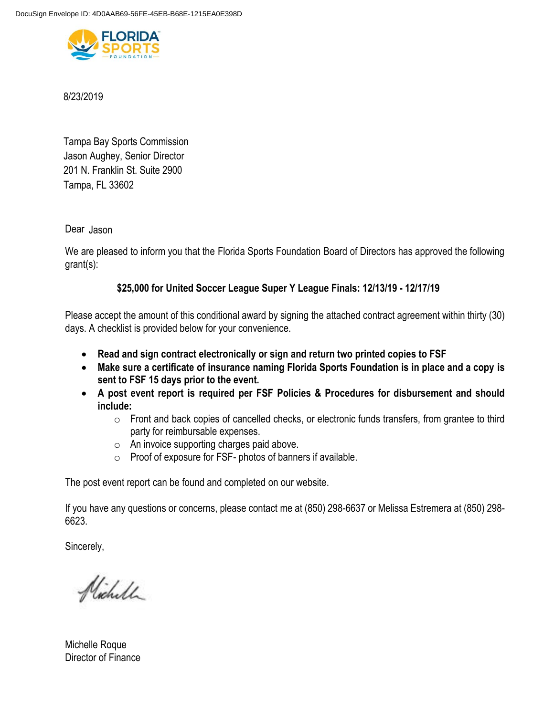

8/23/2019

Tampa, FL 33602 Tampa Bay Sports Commission 201 N. Franklin St. Suite 2900 Jason Aughey, Senior Director

Dear Jason

We are pleased to inform you that the Florida Sports Foundation Board of Directors has approved the following grant(s):

# **\$25,000 for United Soccer League Super Y League Finals: 12/13/19 - 12/17/19**

Please accept the amount of this conditional award by signing the attached contract agreement within thirty (30) days. A checklist is provided below for your convenience.

- **Read and sign contract electronically or sign and return two printed copies to FSF**
- **Make sure a certificate of insurance naming Florida Sports Foundation is in place and a copy is sent to FSF 15 days prior to the event.**
- **A post event report is required per FSF Policies & Procedures for disbursement and should include:** 
	- o Front and back copies of cancelled checks, or electronic funds transfers, from grantee to third party for reimbursable expenses.
	- o An invoice supporting charges paid above.
	- o Proof of exposure for FSF- photos of banners if available.

The post event report can be found and completed on our website.

If you have any questions or concerns, please contact me at (850) 298-6637 or Melissa Estremera at (850) 298- 6623.

Sincerely,

Nicholl

Michelle Roque Director of Finance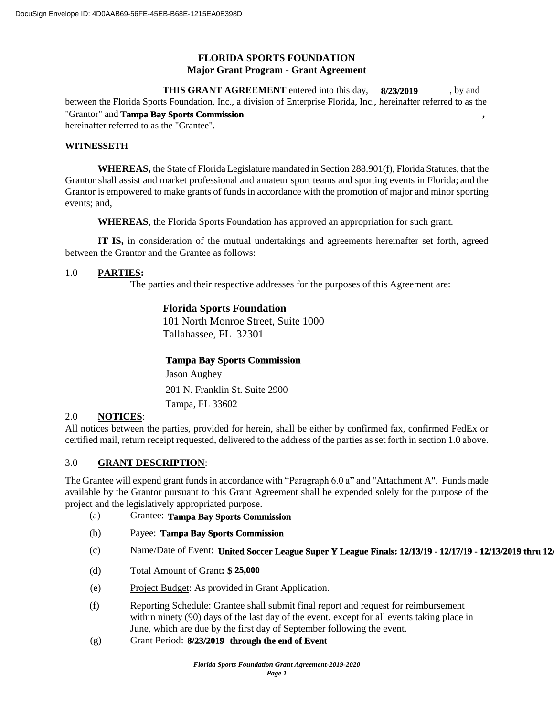# **FLORIDA SPORTS FOUNDATION Major Grant Program - Grant Agreement**

**THIS GRANT AGREEMENT** entered into this day, 8/23/2019 , by and between the Florida Sports Foundation, Inc., a division of Enterprise Florida, Inc., hereinafter referred to as the "Grantor" and Tampa Bay Sports Commission **6. The Security Security Security Security Security Security Security Security Security Security Security Security Security Security Security Security Security Security Security S** hereinafter referred to as the "Grantee".

### **WITNESSETH**

**WHEREAS,** the State of Florida Legislature mandated in Section 288.901(f), Florida Statutes, that the Grantor shall assist and market professional and amateur sport teams and sporting events in Florida; and the Grantor is empowered to make grants of funds in accordance with the promotion of major and minor sporting events; and,

**WHEREAS**, the Florida Sports Foundation has approved an appropriation for such grant.

**IT IS,** in consideration of the mutual undertakings and agreements hereinafter set forth, agreed between the Grantor and the Grantee as follows:

## 1.0 **PARTIES:**

The parties and their respective addresses for the purposes of this Agreement are:

# **Florida Sports Foundation**

101 North Monroe Street, Suite 1000 Tallahassee, FL 32301

## **Tampa Bay Sports Commission**

Tampa, FL 33602 201 N. Franklin St. Suite 2900 Jason Aughey

## 2.0 **NOTICES**:

All notices between the parties, provided for herein, shall be either by confirmed fax, confirmed FedEx or certified mail, return receipt requested, delivered to the address of the parties as set forth in section 1.0 above.

## 3.0 **GRANT DESCRIPTION**:

The Grantee will expend grant funds in accordance with "Paragraph 6.0 a" and "Attachment A". Funds made available by the Grantor pursuant to this Grant Agreement shall be expended solely for the purpose of the project and the legislatively appropriated purpose.

- (a) Grantee: **Tampa Bay Sports Commission**
- (b) Payee: **Tampa Bay Sports Commission**
- (c) Name/Date of Event: **United Soccer League Super Y League Finals: 12/13/19 12/17/19 12/13/2019 thru 12/17/2019**
- (d) Total Amount of Grant**: \$ 25,000**
- (e) Project Budget: As provided in Grant Application.
- (f) Reporting Schedule: Grantee shall submit final report and request for reimbursement within ninety (90) days of the last day of the event, except for all events taking place in June, which are due by the first day of September following the event.
- (g) Grant Period: **8/23/2019** through the end of Event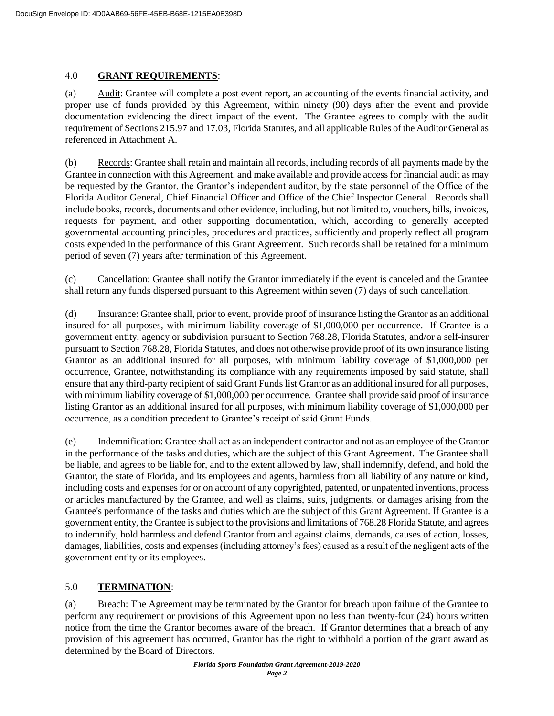## 4.0 **GRANT REQUIREMENTS**:

(a) Audit: Grantee will complete a post event report, an accounting of the events financial activity, and proper use of funds provided by this Agreement, within ninety (90) days after the event and provide documentation evidencing the direct impact of the event. The Grantee agrees to comply with the audit requirement of Sections 215.97 and 17.03, Florida Statutes, and all applicable Rules of the Auditor General as referenced in Attachment A.

(b) Records: Grantee shall retain and maintain all records, including records of all payments made by the Grantee in connection with this Agreement, and make available and provide access for financial audit as may be requested by the Grantor, the Grantor's independent auditor, by the state personnel of the Office of the Florida Auditor General, Chief Financial Officer and Office of the Chief Inspector General. Records shall include books, records, documents and other evidence, including, but not limited to, vouchers, bills, invoices, requests for payment, and other supporting documentation, which, according to generally accepted governmental accounting principles, procedures and practices, sufficiently and properly reflect all program costs expended in the performance of this Grant Agreement. Such records shall be retained for a minimum period of seven (7) years after termination of this Agreement.

(c) Cancellation: Grantee shall notify the Grantor immediately if the event is canceled and the Grantee shall return any funds dispersed pursuant to this Agreement within seven (7) days of such cancellation.

(d) Insurance: Grantee shall, prior to event, provide proof of insurance listing the Grantor as an additional insured for all purposes, with minimum liability coverage of \$1,000,000 per occurrence. If Grantee is a government entity, agency or subdivision pursuant to Section 768.28, Florida Statutes, and/or a self-insurer pursuant to Section 768.28, Florida Statutes, and does not otherwise provide proof of its own insurance listing Grantor as an additional insured for all purposes, with minimum liability coverage of \$1,000,000 per occurrence, Grantee, notwithstanding its compliance with any requirements imposed by said statute, shall ensure that any third-party recipient of said Grant Funds list Grantor as an additional insured for all purposes, with minimum liability coverage of \$1,000,000 per occurrence. Grantee shall provide said proof of insurance listing Grantor as an additional insured for all purposes, with minimum liability coverage of \$1,000,000 per occurrence, as a condition precedent to Grantee's receipt of said Grant Funds.

(e) Indemnification: Grantee shall act as an independent contractor and not as an employee of the Grantor in the performance of the tasks and duties, which are the subject of this Grant Agreement. The Grantee shall be liable, and agrees to be liable for, and to the extent allowed by law, shall indemnify, defend, and hold the Grantor, the state of Florida, and its employees and agents, harmless from all liability of any nature or kind, including costs and expenses for or on account of any copyrighted, patented, or unpatented inventions, process or articles manufactured by the Grantee, and well as claims, suits, judgments, or damages arising from the Grantee's performance of the tasks and duties which are the subject of this Grant Agreement. If Grantee is a government entity, the Grantee is subject to the provisions and limitations of 768.28 Florida Statute, and agrees to indemnify, hold harmless and defend Grantor from and against claims, demands, causes of action, losses, damages, liabilities, costs and expenses (including attorney's fees) caused as a result of the negligent acts of the government entity or its employees.

# 5.0 **TERMINATION**:

(a) Breach: The Agreement may be terminated by the Grantor for breach upon failure of the Grantee to perform any requirement or provisions of this Agreement upon no less than twenty-four (24) hours written notice from the time the Grantor becomes aware of the breach. If Grantor determines that a breach of any provision of this agreement has occurred, Grantor has the right to withhold a portion of the grant award as determined by the Board of Directors.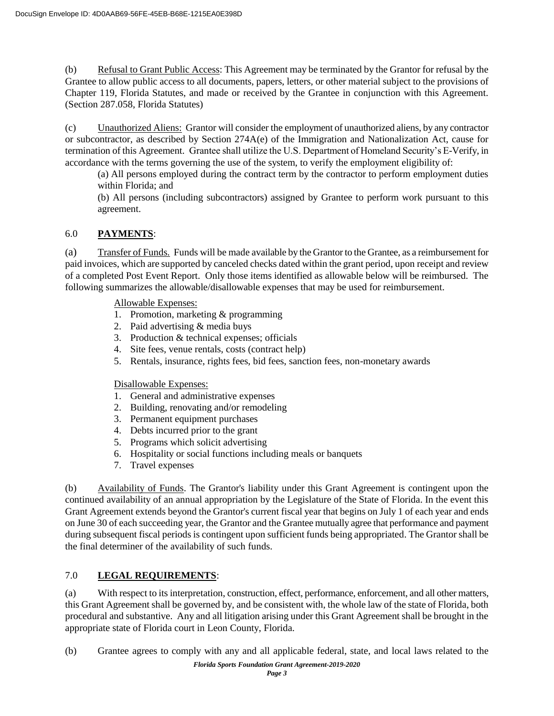(b) Refusal to Grant Public Access: This Agreement may be terminated by the Grantor for refusal by the Grantee to allow public access to all documents, papers, letters, or other material subject to the provisions of Chapter 119, Florida Statutes, and made or received by the Grantee in conjunction with this Agreement. (Section 287.058, Florida Statutes)

(c) Unauthorized Aliens: Grantor will consider the employment of unauthorized aliens, by any contractor or subcontractor, as described by Section 274A(e) of the Immigration and Nationalization Act, cause for termination of this Agreement. Grantee shall utilize the U.S. Department of Homeland Security's E-Verify, in accordance with the terms governing the use of the system, to verify the employment eligibility of:

(a) All persons employed during the contract term by the contractor to perform employment duties within Florida; and

(b) All persons (including subcontractors) assigned by Grantee to perform work pursuant to this agreement.

# 6.0 **PAYMENTS**:

(a) Transfer of Funds. Funds will be made available by the Grantor to the Grantee, as a reimbursement for paid invoices, which are supported by canceled checks dated within the grant period, upon receipt and review of a completed Post Event Report. Only those items identified as allowable below will be reimbursed. The following summarizes the allowable/disallowable expenses that may be used for reimbursement.

Allowable Expenses:

- 1. Promotion, marketing & programming
- 2. Paid advertising & media buys
- 3. Production & technical expenses; officials
- 4. Site fees, venue rentals, costs (contract help)
- 5. Rentals, insurance, rights fees, bid fees, sanction fees, non-monetary awards

## Disallowable Expenses:

- 1. General and administrative expenses
- 2. Building, renovating and/or remodeling
- 3. Permanent equipment purchases
- 4. Debts incurred prior to the grant
- 5. Programs which solicit advertising
- 6. Hospitality or social functions including meals or banquets
- 7. Travel expenses

(b) Availability of Funds. The Grantor's liability under this Grant Agreement is contingent upon the continued availability of an annual appropriation by the Legislature of the State of Florida. In the event this Grant Agreement extends beyond the Grantor's current fiscal year that begins on July 1 of each year and ends on June 30 of each succeeding year, the Grantor and the Grantee mutually agree that performance and payment during subsequent fiscal periods is contingent upon sufficient funds being appropriated. The Grantor shall be the final determiner of the availability of such funds.

# 7.0 **LEGAL REQUIREMENTS**:

(a) With respect to its interpretation, construction, effect, performance, enforcement, and all other matters, this Grant Agreement shall be governed by, and be consistent with, the whole law of the state of Florida, both procedural and substantive. Any and all litigation arising under this Grant Agreement shall be brought in the appropriate state of Florida court in Leon County, Florida.

(b) Grantee agrees to comply with any and all applicable federal, state, and local laws related to the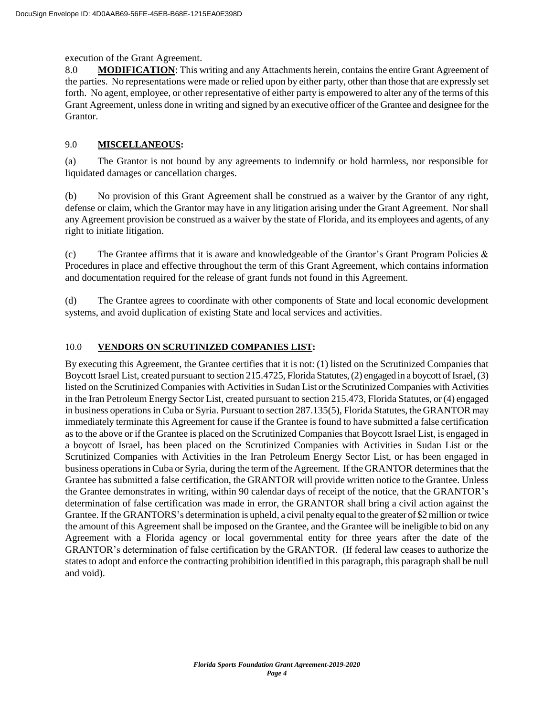#### execution of the Grant Agreement.

8.0 **MODIFICATION:** This writing and any Attachments herein, contains the entire Grant Agreement of the parties. No representations were made or relied upon by either party, other than those that are expressly set forth. No agent, employee, or other representative of either party is empowered to alter any of the terms of this Grant Agreement, unless done in writing and signed by an executive officer of the Grantee and designee for the Grantor.

## 9.0 **MISCELLANEOUS:**

(a) The Grantor is not bound by any agreements to indemnify or hold harmless, nor responsible for liquidated damages or cancellation charges.

(b) No provision of this Grant Agreement shall be construed as a waiver by the Grantor of any right, defense or claim, which the Grantor may have in any litigation arising under the Grant Agreement. Nor shall any Agreement provision be construed as a waiver by the state of Florida, and its employees and agents, of any right to initiate litigation.

(c) The Grantee affirms that it is aware and knowledgeable of the Grantor's Grant Program Policies  $\&$ Procedures in place and effective throughout the term of this Grant Agreement, which contains information and documentation required for the release of grant funds not found in this Agreement.

(d) The Grantee agrees to coordinate with other components of State and local economic development systems, and avoid duplication of existing State and local services and activities.

#### 10.0 **VENDORS ON SCRUTINIZED COMPANIES LIST:**

By executing this Agreement, the Grantee certifies that it is not: (1) listed on the Scrutinized Companies that Boycott Israel List, created pursuant to section 215.4725, Florida Statutes, (2) engaged in a boycott of Israel, (3) listed on the Scrutinized Companies with Activities in Sudan List or the Scrutinized Companies with Activities in the Iran Petroleum Energy Sector List, created pursuant to section 215.473, Florida Statutes, or (4) engaged in business operations in Cuba or Syria. Pursuant to section 287.135(5), Florida Statutes, the GRANTOR may immediately terminate this Agreement for cause if the Grantee is found to have submitted a false certification as to the above or if the Grantee is placed on the Scrutinized Companies that Boycott Israel List, is engaged in a boycott of Israel, has been placed on the Scrutinized Companies with Activities in Sudan List or the Scrutinized Companies with Activities in the Iran Petroleum Energy Sector List, or has been engaged in business operationsin Cuba or Syria, during the term ofthe Agreement. Ifthe GRANTOR determines that the Grantee has submitted a false certification, the GRANTOR will provide written notice to the Grantee. Unless the Grantee demonstrates in writing, within 90 calendar days of receipt of the notice, that the GRANTOR's determination of false certification was made in error, the GRANTOR shall bring a civil action against the Grantee. If the GRANTORS's determination is upheld, a civil penalty equal to the greater of \$2 million or twice the amount of this Agreement shall be imposed on the Grantee, and the Grantee will be ineligible to bid on any Agreement with a Florida agency or local governmental entity for three years after the date of the GRANTOR's determination of false certification by the GRANTOR. (If federal law ceases to authorize the states to adopt and enforce the contracting prohibition identified in this paragraph, this paragraph shall be null and void).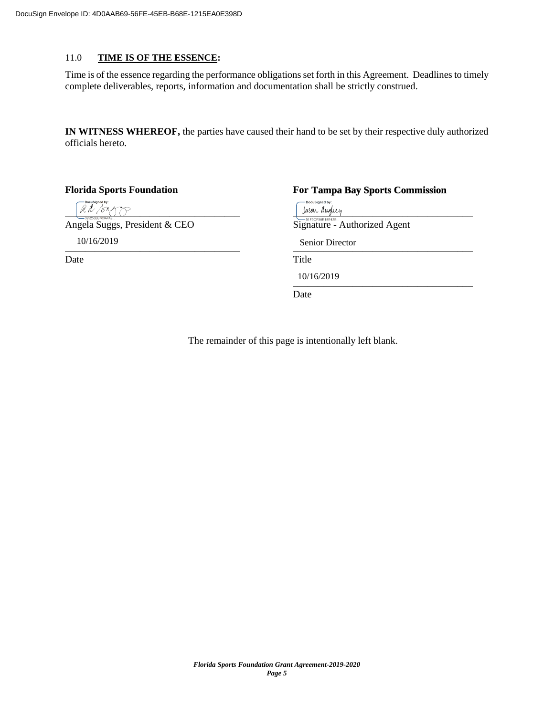#### 11.0 **TIME IS OF THE ESSENCE:**

Time is of the essence regarding the performance obligations set forth in this Agreement. Deadlines to timely complete deliverables, reports, information and documentation shall be strictly construed.

**IN WITNESS WHEREOF,** the parties have caused their hand to be set by their respective duly authorized officials hereto.

**Florida Sports Foundation** 

Date Title

**Tampa Bay Sports Commission DocuSianed by**  $\frac{1}{2}$  sasen theogeneral contract  $\frac{1}{2}$  sasen theogeneral contract of  $\frac{1}{2}$  sasen theogeneral contract of  $\frac{1}{2}$ Angela Suggs, President & CEO Signature - Authorized Agent 10/16/2019 Senior Director $\frac{\text{Stil}}{\text{Stil}}$ 

> \_\_\_\_\_\_\_\_\_\_\_\_\_\_\_\_\_\_\_\_\_\_\_\_\_\_\_\_\_\_\_\_\_\_\_\_ 10/16/2019

Date

The remainder of this page is intentionally left blank.